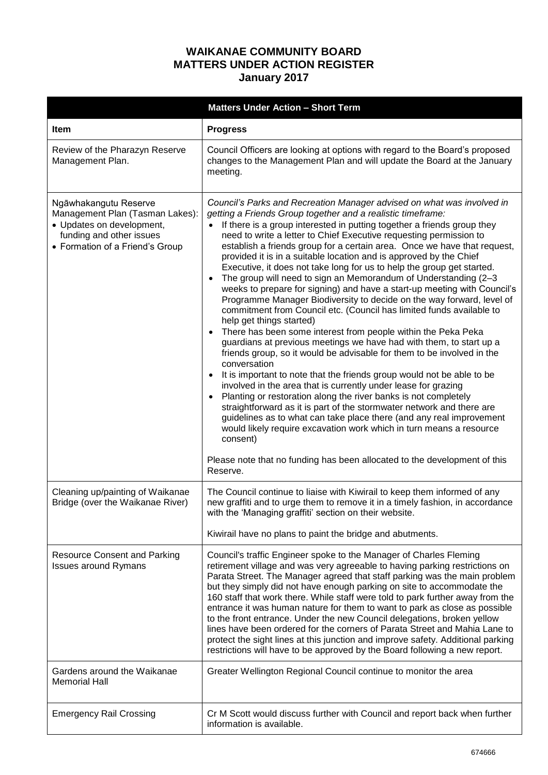## **WAIKANAE COMMUNITY BOARD MATTERS UNDER ACTION REGISTER January 2017**

|                                                                                                                                                      | <b>Matters Under Action - Short Term</b>                                                                                                                                                                                                                                                                                                                                                                                                                                                                                                                                                                                                                                                                                                                                                                                                                                                                                                                                                                                                                                                                                                                                                                                                                                                                                                                                                                                                                                                                                                                                                                                     |
|------------------------------------------------------------------------------------------------------------------------------------------------------|------------------------------------------------------------------------------------------------------------------------------------------------------------------------------------------------------------------------------------------------------------------------------------------------------------------------------------------------------------------------------------------------------------------------------------------------------------------------------------------------------------------------------------------------------------------------------------------------------------------------------------------------------------------------------------------------------------------------------------------------------------------------------------------------------------------------------------------------------------------------------------------------------------------------------------------------------------------------------------------------------------------------------------------------------------------------------------------------------------------------------------------------------------------------------------------------------------------------------------------------------------------------------------------------------------------------------------------------------------------------------------------------------------------------------------------------------------------------------------------------------------------------------------------------------------------------------------------------------------------------------|
| <b>Item</b>                                                                                                                                          | <b>Progress</b>                                                                                                                                                                                                                                                                                                                                                                                                                                                                                                                                                                                                                                                                                                                                                                                                                                                                                                                                                                                                                                                                                                                                                                                                                                                                                                                                                                                                                                                                                                                                                                                                              |
| Review of the Pharazyn Reserve<br>Management Plan.                                                                                                   | Council Officers are looking at options with regard to the Board's proposed<br>changes to the Management Plan and will update the Board at the January<br>meeting.                                                                                                                                                                                                                                                                                                                                                                                                                                                                                                                                                                                                                                                                                                                                                                                                                                                                                                                                                                                                                                                                                                                                                                                                                                                                                                                                                                                                                                                           |
| Ngāwhakangutu Reserve<br>Management Plan (Tasman Lakes):<br>• Updates on development,<br>funding and other issues<br>• Formation of a Friend's Group | Council's Parks and Recreation Manager advised on what was involved in<br>getting a Friends Group together and a realistic timeframe:<br>If there is a group interested in putting together a friends group they<br>need to write a letter to Chief Executive requesting permission to<br>establish a friends group for a certain area. Once we have that request,<br>provided it is in a suitable location and is approved by the Chief<br>Executive, it does not take long for us to help the group get started.<br>The group will need to sign an Memorandum of Understanding (2-3<br>weeks to prepare for signing) and have a start-up meeting with Council's<br>Programme Manager Biodiversity to decide on the way forward, level of<br>commitment from Council etc. (Council has limited funds available to<br>help get things started)<br>There has been some interest from people within the Peka Peka<br>guardians at previous meetings we have had with them, to start up a<br>friends group, so it would be advisable for them to be involved in the<br>conversation<br>It is important to note that the friends group would not be able to be<br>involved in the area that is currently under lease for grazing<br>Planting or restoration along the river banks is not completely<br>straightforward as it is part of the stormwater network and there are<br>guidelines as to what can take place there (and any real improvement<br>would likely require excavation work which in turn means a resource<br>consent)<br>Please note that no funding has been allocated to the development of this<br>Reserve. |
| Cleaning up/painting of Waikanae<br>Bridge (over the Waikanae River)                                                                                 | The Council continue to liaise with Kiwirail to keep them informed of any<br>new graffiti and to urge them to remove it in a timely fashion, in accordance<br>with the 'Managing graffiti' section on their website.                                                                                                                                                                                                                                                                                                                                                                                                                                                                                                                                                                                                                                                                                                                                                                                                                                                                                                                                                                                                                                                                                                                                                                                                                                                                                                                                                                                                         |
|                                                                                                                                                      | Kiwirail have no plans to paint the bridge and abutments.                                                                                                                                                                                                                                                                                                                                                                                                                                                                                                                                                                                                                                                                                                                                                                                                                                                                                                                                                                                                                                                                                                                                                                                                                                                                                                                                                                                                                                                                                                                                                                    |
| <b>Resource Consent and Parking</b><br><b>Issues around Rymans</b>                                                                                   | Council's traffic Engineer spoke to the Manager of Charles Fleming<br>retirement village and was very agreeable to having parking restrictions on<br>Parata Street. The Manager agreed that staff parking was the main problem<br>but they simply did not have enough parking on site to accommodate the<br>160 staff that work there. While staff were told to park further away from the<br>entrance it was human nature for them to want to park as close as possible<br>to the front entrance. Under the new Council delegations, broken yellow<br>lines have been ordered for the corners of Parata Street and Mahia Lane to<br>protect the sight lines at this junction and improve safety. Additional parking<br>restrictions will have to be approved by the Board following a new report.                                                                                                                                                                                                                                                                                                                                                                                                                                                                                                                                                                                                                                                                                                                                                                                                                           |
| Gardens around the Waikanae<br><b>Memorial Hall</b>                                                                                                  | Greater Wellington Regional Council continue to monitor the area                                                                                                                                                                                                                                                                                                                                                                                                                                                                                                                                                                                                                                                                                                                                                                                                                                                                                                                                                                                                                                                                                                                                                                                                                                                                                                                                                                                                                                                                                                                                                             |
| <b>Emergency Rail Crossing</b>                                                                                                                       | Cr M Scott would discuss further with Council and report back when further<br>information is available.                                                                                                                                                                                                                                                                                                                                                                                                                                                                                                                                                                                                                                                                                                                                                                                                                                                                                                                                                                                                                                                                                                                                                                                                                                                                                                                                                                                                                                                                                                                      |